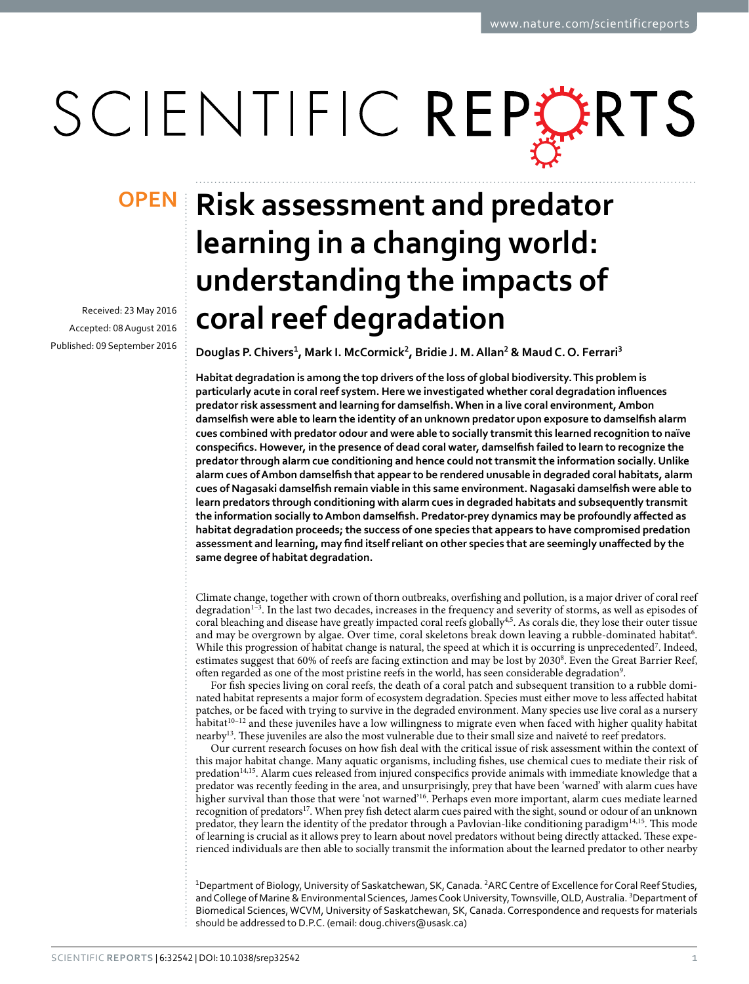# SCIENTIFIC REPERTS

Received: 23 May 2016 accepted: 08 August 2016 Published: 09 September 2016

# **Risk assessment and predator learning in a changing world: understanding the impacts of coral reef degradation**

**Douglas P. Chivers<sup>1</sup>, Mark I. McCormick<sup>2</sup>, Bridie J. M.Allan<sup>2</sup> & Maud C. O. Ferrari<sup>3</sup>**

**Habitat degradation is among the top drivers of the loss of global biodiversity. This problem is particularly acute in coral reef system. Here we investigated whether coral degradation influences predator risk assessment and learning for damselfish. When in a live coral environment, Ambon damselfish were able to learn the identity of an unknown predator upon exposure to damselfish alarm cues combined with predator odour and were able to socially transmit this learned recognition to naïve conspecifics. However, in the presence of dead coral water, damselfish failed to learn to recognize the predator through alarm cue conditioning and hence could not transmit the information socially. Unlike alarm cues of Ambon damselfish that appear to be rendered unusable in degraded coral habitats, alarm cues of Nagasaki damselfish remain viable in this same environment. Nagasaki damselfish were able to learn predators through conditioning with alarm cues in degraded habitats and subsequently transmit the information socially to Ambon damselfish. Predator-prey dynamics may be profoundly affected as habitat degradation proceeds; the success of one species that appears to have compromised predation assessment and learning, may find itself reliant on other species that are seemingly unaffected by the same degree of habitat degradation.**

Climate change, together with crown of thorn outbreaks, overfishing and pollution, is a major driver of coral reef degradation<sup>1–3</sup>. In the last two decades, increases in the frequency and severity of storms, as well as episodes of coral bleaching and disease have greatly impacted coral reefs globally<sup>4[,5](#page-5-2)</sup>. As corals die, they lose their outer tissue and may be overgrown by algae. Over time, coral skeletons break down leaving a rubble-dominated habitat<sup>[6](#page-5-3)</sup>. While this progression of habitat change is natural, the speed at which it is occurring is unprecedented<sup>[7](#page-5-4)</sup>. Indeed, estimates suggest that 60% of reefs are facing extinction and may be lost by 2030<sup>[8](#page-5-5)</sup>. Even the Great Barrier Reef, often regarded as one of the most pristine reefs in the world, has seen considerable degradation<sup>[9](#page-5-6)</sup>.

For fish species living on coral reefs, the death of a coral patch and subsequent transition to a rubble dominated habitat represents a major form of ecosystem degradation. Species must either move to less affected habitat patches, or be faced with trying to survive in the degraded environment. Many species use live coral as a nursery habitat<sup>10-12</sup> and these juveniles have a low willingness to migrate even when faced with higher quality habitat nearb[y13.](#page-5-8) These juveniles are also the most vulnerable due to their small size and naiveté to reef predators.

Our current research focuses on how fish deal with the critical issue of risk assessment within the context of this major habitat change. Many aquatic organisms, including fishes, use chemical cues to mediate their risk of predation<sup>[14](#page-5-9),[15](#page-5-10)</sup>. Alarm cues released from injured conspecifics provide animals with immediate knowledge that a predator was recently feeding in the area, and unsurprisingly, prey that have been 'warned' with alarm cues have higher survival than those that were 'not warned['16](#page-5-11). Perhaps even more important, alarm cues mediate learned recognition of predators<sup>[17](#page-5-12)</sup>. When prey fish detect alarm cues paired with the sight, sound or odour of an unknown predator, they learn the identity of the predator through a Pavlovian-like conditioning paradigm<sup>[14,](#page-5-9)15</sup>. This mode of learning is crucial as it allows prey to learn about novel predators without being directly attacked. These experienced individuals are then able to socially transmit the information about the learned predator to other nearby

<sup>1</sup>Department of Biology, University of Saskatchewan, SK, Canada. <sup>2</sup>ARC Centre of Excellence for Coral Reef Studies, and College of Marine & Environmental Sciences, James Cook University, Townsville, QLD, Australia. <sup>3</sup>Department of Biomedical Sciences, WCVM, University of Saskatchewan, SK, Canada. Correspondence and requests for materials should be addressed to D.P.C. (email: [doug.chivers@usask.ca\)](mailto:doug.chivers@usask.ca)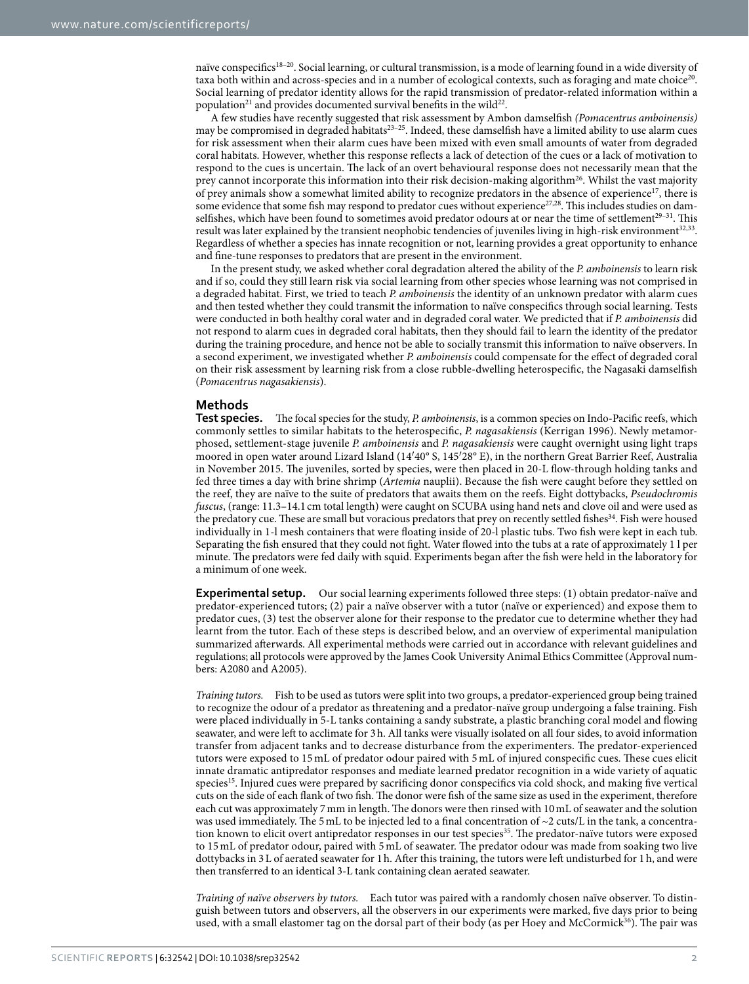naïve conspecifics<sup>18–20</sup>. Social learning, or cultural transmission, is a mode of learning found in a wide diversity of taxa both within and across-species and in a number of ecological contexts, such as foraging and mate choice<sup>20</sup>. Social learning of predator identity allows for the rapid transmission of predator-related information within a population<sup>21</sup> and provides documented survival benefits in the wild<sup>22</sup>.

A few studies have recently suggested that risk assessment by Ambon damselfish *(Pomacentrus amboinensis)* may be compromised in degraded habitats<sup>[23–25](#page-5-17)</sup>. Indeed, these damselfish have a limited ability to use alarm cues for risk assessment when their alarm cues have been mixed with even small amounts of water from degraded coral habitats. However, whether this response reflects a lack of detection of the cues or a lack of motivation to respond to the cues is uncertain. The lack of an overt behavioural response does not necessarily mean that the prey cannot incorporate this information into their risk decision-making algorithm[26](#page-5-18). Whilst the vast majority of prey animals show a somewhat limited ability to recognize predators in the absence of experienc[e17,](#page-5-12) there is some evidence that some fish may respond to predator cues without experience<sup>[27](#page-5-19),[28](#page-5-20)</sup>. This includes studies on damselfishes, which have been found to sometimes avoid predator odours at or near the time of settlement<sup>29-31</sup>. This result was later explained by the transient neophobic tendencies of juveniles living in high-risk environment<sup>[32,](#page-6-0)33</sup>. Regardless of whether a species has innate recognition or not, learning provides a great opportunity to enhance and fine-tune responses to predators that are present in the environment.

In the present study, we asked whether coral degradation altered the ability of the *P. amboinensis* to learn risk and if so, could they still learn risk via social learning from other species whose learning was not comprised in a degraded habitat. First, we tried to teach *P. amboinensis* the identity of an unknown predator with alarm cues and then tested whether they could transmit the information to naïve conspecifics through social learning. Tests were conducted in both healthy coral water and in degraded coral water. We predicted that if *P. amboinensis* did not respond to alarm cues in degraded coral habitats, then they should fail to learn the identity of the predator during the training procedure, and hence not be able to socially transmit this information to naïve observers. In a second experiment, we investigated whether *P. amboinensis* could compensate for the effect of degraded coral on their risk assessment by learning risk from a close rubble-dwelling heterospecific, the Nagasaki damselfish (*Pomacentrus nagasakiensis*).

### **Methods**

**Test species.** The focal species for the study, *P. amboinensis*, is a common species on Indo-Pacific reefs, which commonly settles to similar habitats to the heterospecific, *P. nagasakiensis* (Kerrigan 1996). Newly metamorphosed, settlement-stage juvenile *P. amboinensis* and *P. nagasakiensis* were caught overnight using light traps moored in open water around Lizard Island (14′40° S, 145′28° E), in the northern Great Barrier Reef, Australia in November 2015. The juveniles, sorted by species, were then placed in 20-L flow-through holding tanks and fed three times a day with brine shrimp (*Artemia* nauplii). Because the fish were caught before they settled on the reef, they are naïve to the suite of predators that awaits them on the reefs. Eight dottybacks, *Pseudochromis fuscus*, (range: 11.3–14.1 cm total length) were caught on SCUBA using hand nets and clove oil and were used as the predatory cue. These are small but voracious predators that prey on recently settled fishes<sup>[34](#page-6-2)</sup>. Fish were housed individually in 1-l mesh containers that were floating inside of 20-l plastic tubs. Two fish were kept in each tub. Separating the fish ensured that they could not fight. Water flowed into the tubs at a rate of approximately 1 l per minute. The predators were fed daily with squid. Experiments began after the fish were held in the laboratory for a minimum of one week.

**Experimental setup.** Our social learning experiments followed three steps: (1) obtain predator-naïve and predator-experienced tutors; (2) pair a naïve observer with a tutor (naïve or experienced) and expose them to predator cues, (3) test the observer alone for their response to the predator cue to determine whether they had learnt from the tutor. Each of these steps is described below, and an overview of experimental manipulation summarized afterwards. All experimental methods were carried out in accordance with relevant guidelines and regulations; all protocols were approved by the James Cook University Animal Ethics Committee (Approval numbers: A2080 and A2005).

*Training tutors.* Fish to be used as tutors were split into two groups, a predator-experienced group being trained to recognize the odour of a predator as threatening and a predator-naïve group undergoing a false training. Fish were placed individually in 5-L tanks containing a sandy substrate, a plastic branching coral model and flowing seawater, and were left to acclimate for 3h. All tanks were visually isolated on all four sides, to avoid information transfer from adjacent tanks and to decrease disturbance from the experimenters. The predator-experienced tutors were exposed to 15 mL of predator odour paired with 5 mL of injured conspecific cues. These cues elicit innate dramatic antipredator responses and mediate learned predator recognition in a wide variety of aquatic species<sup>15</sup>. Injured cues were prepared by sacrificing donor conspecifics via cold shock, and making five vertical cuts on the side of each flank of two fish. The donor were fish of the same size as used in the experiment, therefore each cut was approximately 7mm in length. The donors were then rinsed with 10mL of seawater and the solution was used immediately. The 5mL to be injected led to a final concentration of  $\sim$ 2 cuts/L in the tank, a concentration known to elicit overt antipredator responses in our test species<sup>35</sup>. The predator-naïve tutors were exposed to 15mL of predator odour, paired with 5mL of seawater. The predator odour was made from soaking two live dottybacks in 3L of aerated seawater for 1h. After this training, the tutors were left undisturbed for 1h, and were then transferred to an identical 3-L tank containing clean aerated seawater.

*Training of naïve observers by tutors.* Each tutor was paired with a randomly chosen naïve observer. To distinguish between tutors and observers, all the observers in our experiments were marked, five days prior to being used, with a small elastomer tag on the dorsal part of their body (as per Hoey and McCormick<sup>36</sup>). The pair was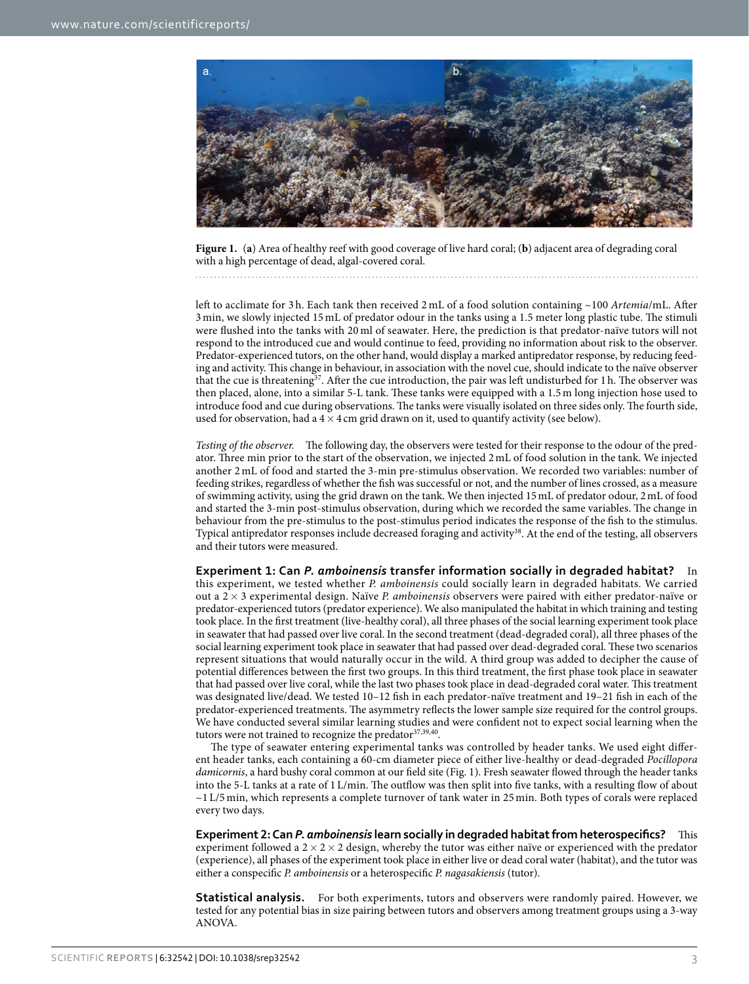

<span id="page-2-0"></span>**Figure 1.** (**a**) Area of healthy reef with good coverage of live hard coral; (**b**) adjacent area of degrading coral with a high percentage of dead, algal-covered coral.

left to acclimate for 3 h. Each tank then received 2 mL of a food solution containing ~100 *Artemia*/mL. After 3 min, we slowly injected 15 mL of predator odour in the tanks using a 1.5 meter long plastic tube. The stimuli were flushed into the tanks with 20 ml of seawater. Here, the prediction is that predator-naïve tutors will not respond to the introduced cue and would continue to feed, providing no information about risk to the observer. Predator-experienced tutors, on the other hand, would display a marked antipredator response, by reducing feeding and activity. This change in behaviour, in association with the novel cue, should indicate to the naïve observer that the cue is threatening<sup>37</sup>. After the cue introduction, the pair was left undisturbed for 1h. The observer was then placed, alone, into a similar 5-L tank. These tanks were equipped with a 1.5 m long injection hose used to introduce food and cue during observations. The tanks were visually isolated on three sides only. The fourth side, used for observation, had a  $4 \times 4$  cm grid drawn on it, used to quantify activity (see below).

*Testing of the observer.* The following day, the observers were tested for their response to the odour of the predator. Three min prior to the start of the observation, we injected 2 mL of food solution in the tank. We injected another 2 mL of food and started the 3-min pre-stimulus observation. We recorded two variables: number of feeding strikes, regardless of whether the fish was successful or not, and the number of lines crossed, as a measure of swimming activity, using the grid drawn on the tank. We then injected 15mL of predator odour, 2mL of food and started the 3-min post-stimulus observation, during which we recorded the same variables. The change in behaviour from the pre-stimulus to the post-stimulus period indicates the response of the fish to the stimulus. Typical antipredator responses include decreased foraging and activity[38.](#page-6-6) At the end of the testing, all observers and their tutors were measured.

**Experiment 1: Can** *P. amboinensis* **transfer information socially in degraded habitat?** In this experiment, we tested whether *P. amboinensis* could socially learn in degraded habitats. We carried out a 2 × 3 experimental design. Naïve *P. amboinensis* observers were paired with either predator-naïve or predator-experienced tutors (predator experience). We also manipulated the habitat in which training and testing took place. In the first treatment (live-healthy coral), all three phases of the social learning experiment took place in seawater that had passed over live coral. In the second treatment (dead-degraded coral), all three phases of the social learning experiment took place in seawater that had passed over dead-degraded coral. These two scenarios represent situations that would naturally occur in the wild. A third group was added to decipher the cause of potential differences between the first two groups. In this third treatment, the first phase took place in seawater that had passed over live coral, while the last two phases took place in dead-degraded coral water. This treatment was designated live/dead. We tested 10–12 fish in each predator-naïve treatment and 19–21 fish in each of the predator-experienced treatments. The asymmetry reflects the lower sample size required for the control groups. We have conducted several similar learning studies and were confident not to expect social learning when the tutors were not trained to recognize the predator<sup>[37](#page-6-5),[39](#page-6-7),[40](#page-6-8)</sup>.

The type of seawater entering experimental tanks was controlled by header tanks. We used eight different header tanks, each containing a 60-cm diameter piece of either live-healthy or dead-degraded *Pocillopora damicornis*, a hard bushy coral common at our field site ([Fig. 1](#page-2-0)). Fresh seawater flowed through the header tanks into the 5-L tanks at a rate of 1 L/min. The outflow was then split into five tanks, with a resulting flow of about ~1 L/5 min, which represents a complete turnover of tank water in 25 min. Both types of corals were replaced every two days.

**Experiment 2: Can** *P. amboinensis* **learn socially in degraded habitat from heterospecifics?** This experiment followed a  $2 \times 2 \times 2$  design, whereby the tutor was either naïve or experienced with the predator (experience), all phases of the experiment took place in either live or dead coral water (habitat), and the tutor was either a conspecific *P. amboinensis* or a heterospecific *P. nagasakiensis* (tutor).

**Statistical analysis.** For both experiments, tutors and observers were randomly paired. However, we tested for any potential bias in size pairing between tutors and observers among treatment groups using a 3-way ANOVA.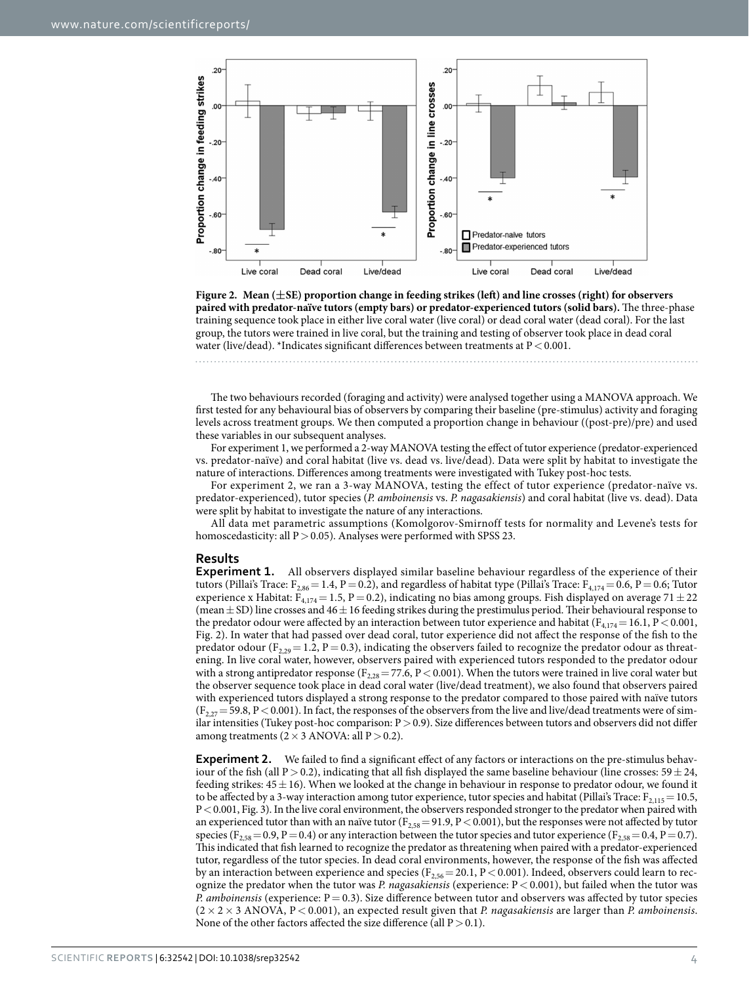

<span id="page-3-0"></span>**Figure 2. Mean (±SE) proportion change in feeding strikes (left) and line crosses (right) for observers paired with predator-naïve tutors (empty bars) or predator-experienced tutors (solid bars).** The three-phase training sequence took place in either live coral water (live coral) or dead coral water (dead coral). For the last group, the tutors were trained in live coral, but the training and testing of observer took place in dead coral water (live/dead). \*Indicates significant differences between treatments at  $P < 0.001$ .

The two behaviours recorded (foraging and activity) were analysed together using a MANOVA approach. We first tested for any behavioural bias of observers by comparing their baseline (pre-stimulus) activity and foraging levels across treatment groups. We then computed a proportion change in behaviour ((post-pre)/pre) and used these variables in our subsequent analyses.

For experiment 1, we performed a 2-way MANOVA testing the effect of tutor experience (predator-experienced vs. predator-naïve) and coral habitat (live vs. dead vs. live/dead). Data were split by habitat to investigate the nature of interactions. Differences among treatments were investigated with Tukey post-hoc tests.

For experiment 2, we ran a 3-way MANOVA, testing the effect of tutor experience (predator-naïve vs. predator-experienced), tutor species (*P. amboinensis* vs. *P. nagasakiensis*) and coral habitat (live vs. dead). Data were split by habitat to investigate the nature of any interactions.

All data met parametric assumptions (Komolgorov-Smirnoff tests for normality and Levene's tests for homoscedasticity: all P > 0.05). Analyses were performed with SPSS 23.

### **Results**

**Experiment 1.** All observers displayed similar baseline behaviour regardless of the experience of their tutors (Pillai's Trace:  $F_{2,86}$  = 1.4, P = 0.2), and regardless of habitat type (Pillai's Trace:  $F_{4,174}$  = 0.6, P = 0.6; Tutor experience x Habitat:  $F_{4,174} = 1.5$ , P = 0.2), indicating no bias among groups. Fish displayed on average 71  $\pm$  22 (mean  $\pm$  SD) line crosses and 46 $\pm$  16 feeding strikes during the prestimulus period. Their behavioural response to the predator odour were affected by an interaction between tutor experience and habitat ( $F_{4,174}=16.1$ ,  $P<0.001$ , [Fig. 2\)](#page-3-0). In water that had passed over dead coral, tutor experience did not affect the response of the fish to the predator odour (F<sub>2,29</sub> = 1.2, P = 0.3), indicating the observers failed to recognize the predator odour as threatening. In live coral water, however, observers paired with experienced tutors responded to the predator odour with a strong antipredator response ( $F_{2,28}$  = 77.6, P < 0.001). When the tutors were trained in live coral water but the observer sequence took place in dead coral water (live/dead treatment), we also found that observers paired with experienced tutors displayed a strong response to the predator compared to those paired with naïve tutors  $(F_{2,27}= 59.8, P < 0.001)$ . In fact, the responses of the observers from the live and live/dead treatments were of similar intensities (Tukey post-hoc comparison:  $P > 0.9$ ). Size differences between tutors and observers did not differ among treatments ( $2 \times 3$  ANOVA: all  $P > 0.2$ ).

**Experiment 2.** We failed to find a significant effect of any factors or interactions on the pre-stimulus behaviour of the fish (all P > 0.2), indicating that all fish displayed the same baseline behaviour (line crosses:  $59 \pm 24$ , feeding strikes:  $45±16$ ). When we looked at the change in behaviour in response to predator odour, we found it to be affected by a 3-way interaction among tutor experience, tutor species and habitat (Pillai's Trace:  $F_{2,115}$  = 10.5, P< 0.001, [Fig. 3](#page-4-0)). In the live coral environment, the observers responded stronger to the predator when paired with an experienced tutor than with an naïve tutor ( $F_{2,58}$  = 91.9, P < 0.001), but the responses were not affected by tutor species ( $F_{2,58}$  = 0.9, P = 0.4) or any interaction between the tutor species and tutor experience ( $F_{2,58}$  = 0.4, P = 0.7). This indicated that fish learned to recognize the predator as threatening when paired with a predator-experienced tutor, regardless of the tutor species. In dead coral environments, however, the response of the fish was affected by an interaction between experience and species ( $F_{2,56}$  = 20.1, P < 0.001). Indeed, observers could learn to recognize the predator when the tutor was *P. nagasakiensis* (experience: P< 0.001), but failed when the tutor was *P. amboinensis* (experience: P = 0.3). Size difference between tutor and observers was affected by tutor species (2× 2× 3 ANOVA, P< 0.001), an expected result given that *P. nagasakiensis* are larger than *P. amboinensis*. None of the other factors affected the size difference (all  $P > 0.1$ ).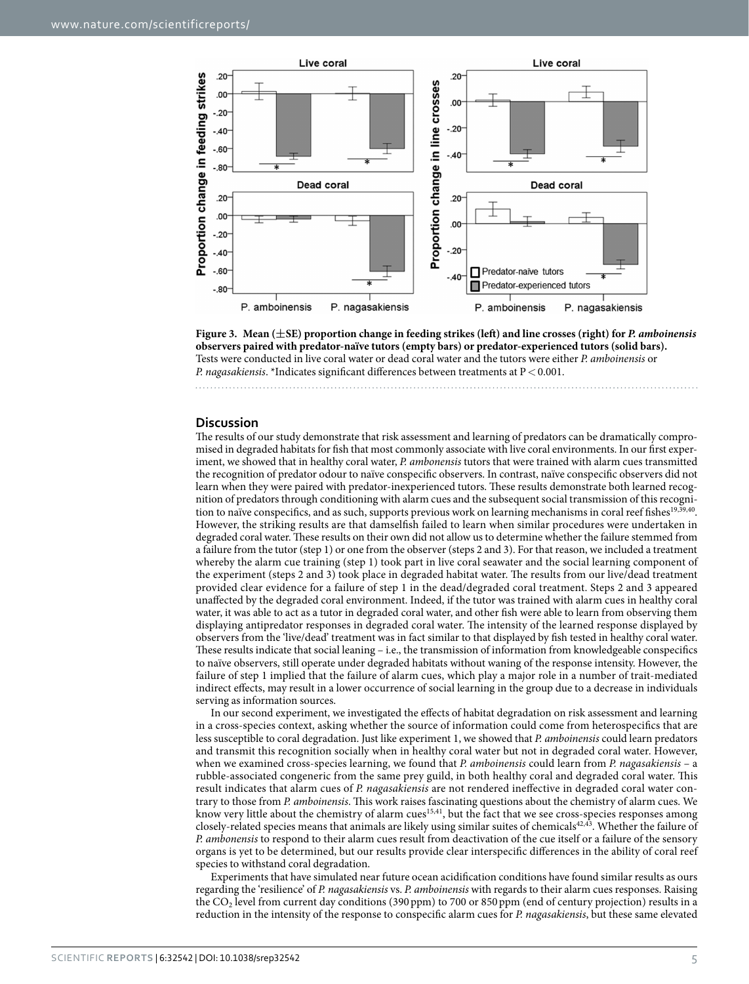

<span id="page-4-0"></span>

# **Discussion**

The results of our study demonstrate that risk assessment and learning of predators can be dramatically compromised in degraded habitats for fish that most commonly associate with live coral environments. In our first experiment, we showed that in healthy coral water, *P. ambonensis* tutors that were trained with alarm cues transmitted the recognition of predator odour to naïve conspecific observers. In contrast, naïve conspecific observers did not learn when they were paired with predator-inexperienced tutors. These results demonstrate both learned recognition of predators through conditioning with alarm cues and the subsequent social transmission of this recogni-tion to naïve conspecifics, and as such, supports previous work on learning mechanisms in coral reef fishes<sup>19,[39,](#page-6-7)40</sup>. However, the striking results are that damselfish failed to learn when similar procedures were undertaken in degraded coral water. These results on their own did not allow us to determine whether the failure stemmed from a failure from the tutor (step 1) or one from the observer (steps 2 and 3). For that reason, we included a treatment whereby the alarm cue training (step 1) took part in live coral seawater and the social learning component of the experiment (steps 2 and 3) took place in degraded habitat water. The results from our live/dead treatment provided clear evidence for a failure of step 1 in the dead/degraded coral treatment. Steps 2 and 3 appeared unaffected by the degraded coral environment. Indeed, if the tutor was trained with alarm cues in healthy coral water, it was able to act as a tutor in degraded coral water, and other fish were able to learn from observing them displaying antipredator responses in degraded coral water. The intensity of the learned response displayed by observers from the 'live/dead' treatment was in fact similar to that displayed by fish tested in healthy coral water. These results indicate that social leaning – i.e., the transmission of information from knowledgeable conspecifics to naïve observers, still operate under degraded habitats without waning of the response intensity. However, the failure of step 1 implied that the failure of alarm cues, which play a major role in a number of trait-mediated indirect effects, may result in a lower occurrence of social learning in the group due to a decrease in individuals serving as information sources.

In our second experiment, we investigated the effects of habitat degradation on risk assessment and learning in a cross-species context, asking whether the source of information could come from heterospecifics that are less susceptible to coral degradation. Just like experiment 1, we showed that *P. amboinensis* could learn predators and transmit this recognition socially when in healthy coral water but not in degraded coral water. However, when we examined cross-species learning, we found that *P. amboinensis* could learn from *P. nagasakiensis* – a rubble-associated congeneric from the same prey guild, in both healthy coral and degraded coral water. This result indicates that alarm cues of *P. nagasakiensis* are not rendered ineffective in degraded coral water contrary to those from *P. amboinensis*. This work raises fascinating questions about the chemistry of alarm cues. We know very little about the chemistry of alarm cue[s15](#page-5-10)[,41](#page-6-9), but the fact that we see cross-species responses among closely-related species means that animals are likely using similar suites of chemicals<sup>42,43</sup>. Whether the failure of *P. ambonensis* to respond to their alarm cues result from deactivation of the cue itself or a failure of the sensory organs is yet to be determined, but our results provide clear interspecific differences in the ability of coral reef species to withstand coral degradation.

Experiments that have simulated near future ocean acidification conditions have found similar results as ours regarding the 'resilience' of *P. nagasakiensis* vs. *P. amboinensis* with regards to their alarm cues responses. Raising the CO<sub>2</sub> level from current day conditions (390 ppm) to 700 or 850 ppm (end of century projection) results in a reduction in the intensity of the response to conspecific alarm cues for *P. nagasakiensis*, but these same elevated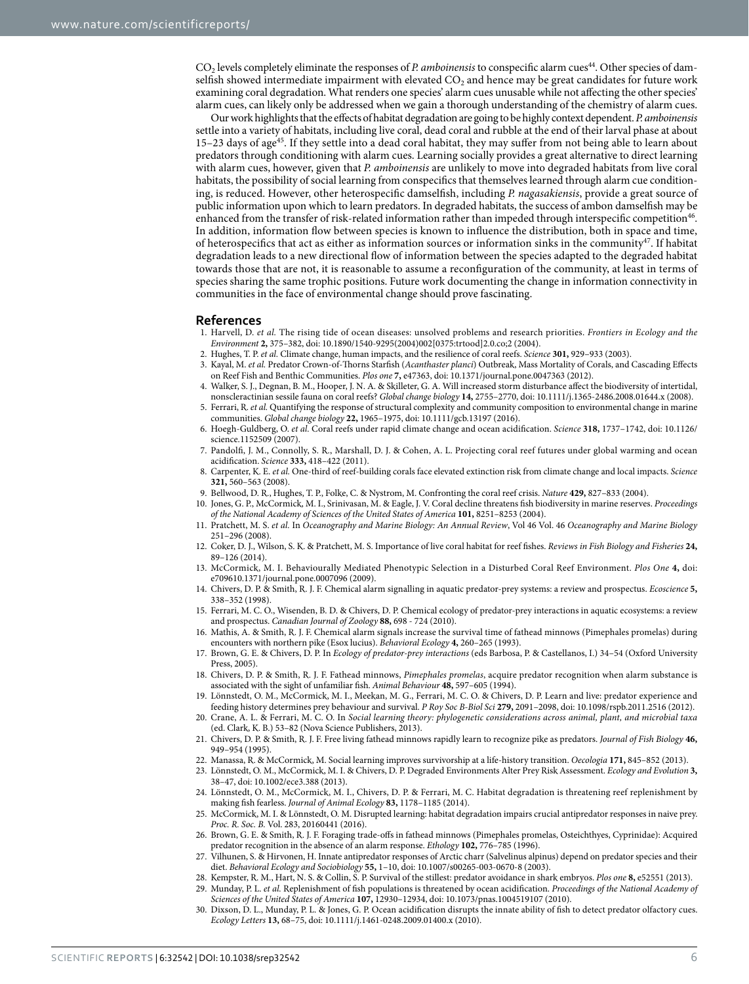CO<sub>2</sub> levels completely eliminate the responses of *P. amboinensis* to conspecific alarm cues<sup>[44](#page-6-12)</sup>. Other species of damselfish showed intermediate impairment with elevated  $CO<sub>2</sub>$  and hence may be great candidates for future work examining coral degradation. What renders one species' alarm cues unusable while not affecting the other species' alarm cues, can likely only be addressed when we gain a thorough understanding of the chemistry of alarm cues.

Our work highlights that the effects of habitat degradation are going to be highly context dependent. *P. amboinensis* settle into a variety of habitats, including live coral, dead coral and rubble at the end of their larval phase at about 15–23 days of age<sup>45</sup>. If they settle into a dead coral habitat, they may suffer from not being able to learn about predators through conditioning with alarm cues. Learning socially provides a great alternative to direct learning with alarm cues, however, given that *P. amboinensis* are unlikely to move into degraded habitats from live coral habitats, the possibility of social learning from conspecifics that themselves learned through alarm cue conditioning, is reduced. However, other heterospecific damselfish, including *P. nagasakiensis*, provide a great source of public information upon which to learn predators. In degraded habitats, the success of ambon damselfish may be enhanced from the transfer of risk-related information rather than impeded through interspecific competition<sup>46</sup>. In addition, information flow between species is known to influence the distribution, both in space and time, of heterospecifics that act as either as information sources or information sinks in the community<sup>[47](#page-6-15)</sup>. If habitat degradation leads to a new directional flow of information between the species adapted to the degraded habitat towards those that are not, it is reasonable to assume a reconfiguration of the community, at least in terms of species sharing the same trophic positions. Future work documenting the change in information connectivity in communities in the face of environmental change should prove fascinating.

### **References**

- <span id="page-5-0"></span>1. Harvell, D. *et al.* The rising tide of ocean diseases: unsolved problems and research priorities. *Frontiers in Ecology and the Environment* **2,** 375–382, doi: 10.1890/1540-9295(2004)002[0375:trtood]2.0.co;2 (2004).
- 2. Hughes, T. P. *et al.* Climate change, human impacts, and the resilience of coral reefs. *Science* **301,** 929–933 (2003).
- 3. Kayal, M. *et al.* Predator Crown-of-Thorns Starfish (*Acanthaster planci*) Outbreak, Mass Mortality of Corals, and Cascading Effects on Reef Fish and Benthic Communities. *Plos one* **7,** e47363, doi: 10.1371/journal.pone.0047363 (2012).
- <span id="page-5-1"></span>4. Walker, S. J., Degnan, B. M., Hooper, J. N. A. & Skilleter, G. A. Will increased storm disturbance affect the biodiversity of intertidal, nonscleractinian sessile fauna on coral reefs? *Global change biology* **14,** 2755–2770, doi: 10.1111/j.1365-2486.2008.01644.x (2008).
- <span id="page-5-2"></span>5. Ferrari, R. *et al.* Quantifying the response of structural complexity and community composition to environmental change in marine communities. *Global change biology* **22,** 1965–1975, doi: 10.1111/gcb.13197 (2016).
- <span id="page-5-3"></span>6. Hoegh-Guldberg, O. *et al.* Coral reefs under rapid climate change and ocean acidification. *Science* **318,** 1737–1742, doi: 10.1126/ science.1152509 (2007).
- <span id="page-5-4"></span>7. Pandolfi, J. M., Connolly, S. R., Marshall, D. J. & Cohen, A. L. Projecting coral reef futures under global warming and ocean acidification. *Science* **333,** 418–422 (2011).
- <span id="page-5-5"></span>8. Carpenter, K. E. *et al.* One-third of reef-building corals face elevated extinction risk from climate change and local impacts. *Science* **321,** 560–563 (2008).
- <span id="page-5-6"></span>9. Bellwood, D. R., Hughes, T. P., Folke, C. & Nystrom, M. Confronting the coral reef crisis. *Nature* **429,** 827–833 (2004).
- <span id="page-5-7"></span>10. Jones, G. P., McCormick, M. I., Srinivasan, M. & Eagle, J. V. Coral decline threatens fish biodiversity in marine reserves. *Proceedings*
- *of the National Academy of Sciences of the United States of America* **101,** 8251–8253 (2004). 11. Pratchett, M. S. *et al.* In *Oceanography and Marine Biology: An Annual Review*, Vol 46 Vol. 46 *Oceanography and Marine Biology*
- 251–296 (2008). 12. Coker, D. J., Wilson, S. K. & Pratchett, M. S. Importance of live coral habitat for reef fishes. *Reviews in Fish Biology and Fisheries* **24,** 89–126 (2014).
- <span id="page-5-8"></span>13. McCormick, M. I. Behaviourally Mediated Phenotypic Selection in a Disturbed Coral Reef Environment. *Plos One* **4,** doi: e709610.1371/journal.pone.0007096 (2009).
- <span id="page-5-9"></span>14. Chivers, D. P. & Smith, R. J. F. Chemical alarm signalling in aquatic predator-prey systems: a review and prospectus. *Ecoscience* **5,** 338–352 (1998).
- <span id="page-5-10"></span>15. Ferrari, M. C. O., Wisenden, B. D. & Chivers, D. P. Chemical ecology of predator-prey interactions in aquatic ecosystems: a review and prospectus. *Canadian Journal of Zoology* **88,** 698 - 724 (2010).
- <span id="page-5-11"></span>16. Mathis, A. & Smith, R. J. F. Chemical alarm signals increase the survival time of fathead minnows (Pimephales promelas) during encounters with northern pike (Esox lucius). *Behavioral Ecology* **4,** 260–265 (1993).
- <span id="page-5-12"></span>17. Brown, G. E. & Chivers, D. P. In *Ecology of predator-prey interactions* (eds Barbosa, P. & Castellanos, I.) 34–54 (Oxford University Press, 2005).
- <span id="page-5-13"></span>18. Chivers, D. P. & Smith, R. J. F. Fathead minnows, *Pimephales promelas*, acquire predator recognition when alarm substance is associated with the sight of unfamiliar fish. *Animal Behaviour* **48,** 597–605 (1994).
- <span id="page-5-22"></span>19. Lönnstedt, O. M., McCormick, M. I., Meekan, M. G., Ferrari, M. C. O. & Chivers, D. P. Learn and live: predator experience and feeding history determines prey behaviour and survival. *P Roy Soc B-Biol Sci* **279,** 2091–2098, doi: 10.1098/rspb.2011.2516 (2012).
- <span id="page-5-14"></span>20. Crane, A. L. & Ferrari, M. C. O. In *Social learning theory: phylogenetic considerations across animal, plant, and microbial taxa* (ed. Clark, K. B.) 53–82 (Nova Science Publishers, 2013).
- <span id="page-5-15"></span>21. Chivers, D. P. & Smith, R. J. F. Free living fathead minnows rapidly learn to recognize pike as predators. *Journal of Fish Biology* **46,** 949–954 (1995).
- <span id="page-5-16"></span>22. Manassa, R. & McCormick, M. Social learning improves survivorship at a life-history transition. *Oecologia* **171,** 845–852 (2013).
- <span id="page-5-17"></span>23. Lönnstedt, O. M., McCormick, M. I. & Chivers, D. P. Degraded Environments Alter Prey Risk Assessment. *Ecology and Evolution* **3,** 38–47, doi: 10.1002/ece3.388 (2013).
- 24. Lönnstedt, O. M., McCormick, M. I., Chivers, D. P. & Ferrari, M. C. Habitat degradation is threatening reef replenishment by making fish fearless. *Journal of Animal Ecology* **83,** 1178–1185 (2014).
- 25. McCormick, M. I. & Lönnstedt, O. M. Disrupted learning: habitat degradation impairs crucial antipredator responses in naive prey. *Proc. R. Soc. B.* Vol. 283, 20160441 (2016).
- <span id="page-5-18"></span>26. Brown, G. E. & Smith, R. J. F. Foraging trade-offs in fathead minnows (Pimephales promelas, Osteichthyes, Cyprinidae): Acquired predator recognition in the absence of an alarm response. *Ethology* **102,** 776–785 (1996).
- <span id="page-5-19"></span>27. Vilhunen, S. & Hirvonen, H. Innate antipredator responses of Arctic charr (Salvelinus alpinus) depend on predator species and their diet. *Behavioral Ecology and Sociobiology* **55,** 1–10, doi: 10.1007/s00265-003-0670-8 (2003).
- <span id="page-5-20"></span>28. Kempster, R. M., Hart, N. S. & Collin, S. P. Survival of the stillest: predator avoidance in shark embryos. *Plos one* **8,** e52551 (2013).
- <span id="page-5-21"></span>29. Munday, P. L. *et al.* Replenishment of fish populations is threatened by ocean acidification. *Proceedings of the National Academy of Sciences of the United States of America* **107,** 12930–12934, doi: 10.1073/pnas.1004519107 (2010).
- 30. Dixson, D. L., Munday, P. L. & Jones, G. P. Ocean acidification disrupts the innate ability of fish to detect predator olfactory cues. *Ecology Letters* **13,** 68–75, doi: 10.1111/j.1461-0248.2009.01400.x (2010).